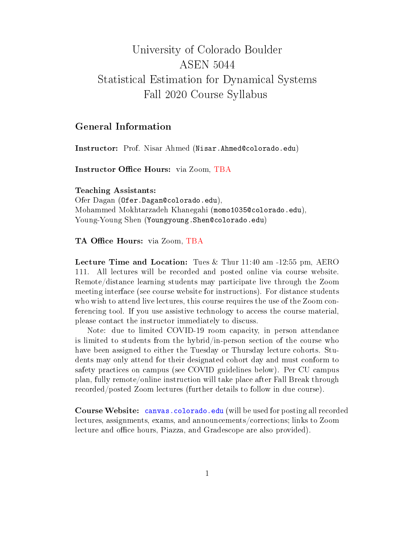# University of Colorado Boulder ASEN 5044 Statistical Estimation for Dynamical Systems Fall 2020 Course Syllabus

## General Information

Instructor: Prof. Nisar Ahmed (Nisar.Ahmed@colorado.edu)

Instructor Office Hours: via Zoom, TBA

Teaching Assistants: Ofer Dagan (Ofer.Dagan@colorado.edu), Mohammed Mokhtarzadeh Khanegahi (momo1035@colorado.edu), Young-Young Shen (Youngyoung.Shen@colorado.edu)

#### TA Office Hours: via Zoom, TBA

Lecture Time and Location: Tues & Thur 11:40 am -12:55 pm, AERO 111. All lectures will be recorded and posted online via course website. Remote/distance learning students may participate live through the Zoom meeting interface (see course website for instructions). For distance students who wish to attend live lectures, this course requires the use of the Zoom conferencing tool. If you use assistive technology to access the course material, please contact the instructor immediately to discuss.

Note: due to limited COVID-19 room capacity, in person attendance is limited to students from the hybrid/in-person section of the course who have been assigned to either the Tuesday or Thursday lecture cohorts. Students may only attend for their designated cohort day and must conform to safety practices on campus (see COVID guidelines below). Per CU campus plan, fully remote/online instruction will take place after Fall Break through recorded/posted Zoom lectures (further details to follow in due course).

Course Website: <canvas.colorado.edu> (will be used for posting all recorded lectures, assignments, exams, and announcements/corrections; links to Zoom lecture and office hours, Piazza, and Gradescope are also provided).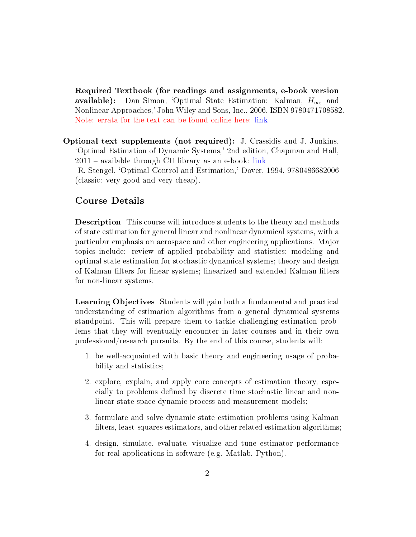Required Textbook (for readings and assignments, e-book version available): Dan Simon, 'Optimal State Estimation: Kalman,  $H_{\infty}$ , and Nonlinear Approaches,' John Wiley and Sons, Inc., 2006, ISBN 9780471708582. Note: errata for the text can be found online here: [link](http://academic.csuohio.edu/simond/estimation/errata.pdf)

Optional text supplements (not required): J. Crassidis and J. Junkins, `Optimal Estimation of Dynamic Systems,' 2nd edition, Chapman and Hall,  $2011$  – available through CU library as an e-book: [link](https://drive.google.com/file/d/0B3xghmB88rs1MlRoUXBvQUJocjg/view?usp=sharing)

R. Stengel, `Optimal Control and Estimation,' Dover, 1994, 9780486682006 (classic: very good and very cheap).

#### Course Details

Description This course will introduce students to the theory and methods of state estimation for general linear and nonlinear dynamical systems, with a particular emphasis on aerospace and other engineering applications. Major topics include: review of applied probability and statistics; modeling and optimal state estimation for stochastic dynamical systems; theory and design of Kalman filters for linear systems; linearized and extended Kalman filters for non-linear systems.

Learning Objectives Students will gain both a fundamental and practical understanding of estimation algorithms from a general dynamical systems standpoint. This will prepare them to tackle challenging estimation problems that they will eventually encounter in later courses and in their own professional/research pursuits. By the end of this course, students will:

- 1. be well-acquainted with basic theory and engineering usage of probability and statistics;
- 2. explore, explain, and apply core concepts of estimation theory, especially to problems defined by discrete time stochastic linear and nonlinear state space dynamic process and measurement models;
- 3. formulate and solve dynamic state estimation problems using Kalman filters, least-squares estimators, and other related estimation algorithms:
- 4. design, simulate, evaluate, visualize and tune estimator performance for real applications in software (e.g. Matlab, Python).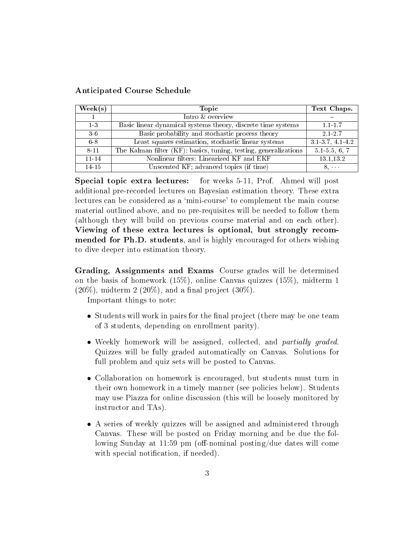#### Anticipated Course Schedule

| $\text{Week}(s)$ | Topic                                                            | Text Chaps.       |
|------------------|------------------------------------------------------------------|-------------------|
|                  | Intro & overview                                                 |                   |
| $1-3$            | Basic linear dynamical systems theory, discrete time systems     | $1.1 - 1.7$       |
| $3-6$            | Basic probability and stochastic process theory                  | 2.1-2.7           |
| 6-8              | Least squares estimation, stochastic linear systems              | 3.1-3.7, 4.1-4.2  |
| 8-11             | The Kalman filter (KF): basics, tuning, testing, generalizations | $5.1 - 5.5, 6, 7$ |
| $11 - 14$        | Nonlinear filters: Linearized KF and EKF                         | 13.1,13.2         |
| $14-15$          | Unscented KF; advanced topics (if time)                          | $8. \cdots$       |

Special topic extra lectures: for weeks 5-11, Prof. Ahmed will post additional pre-recorded lectures on Bayesian estimation theory. These extra lectures can be considered as a 'mini-course' to complement the main course material outlined above, and no pre-requisites will be needed to follow them (although they will build on previous course material and on each other). Viewing of these extra lectures is optional, but strongly recommended for Ph.D. students, and is highly encouraged for others wishing to dive deeper into estimation theory.

Grading, Assignments and Exams Course grades will be determined on the basis of homework  $(15\%)$ , online Canvas quizzes  $(15\%)$ , midterm 1  $(20\%)$ , midterm 2  $(20\%)$ , and a final project  $(30\%).$ 

Important things to note:

- Students will work in pairs for the final project (there may be one team of 3 students, depending on enrollment parity).
- Weekly homework will be assigned, collected, and *partially graded*. Quizzes will be fully graded automatically on Canvas. Solutions for full problem and quiz sets will be posted to Canvas.
- Collaboration on homework is encouraged, but students must turn in their own homework in a timely manner (see policies below). Students may use Piazza for online discussion (this will be loosely monitored by instructor and TAs).
- A series of weekly quizzes will be assigned and administered through Canvas. These will be posted on Friday morning and be due the following Sunday at 11:59 pm (off-nominal posting/due dates will come with special notification, if needed).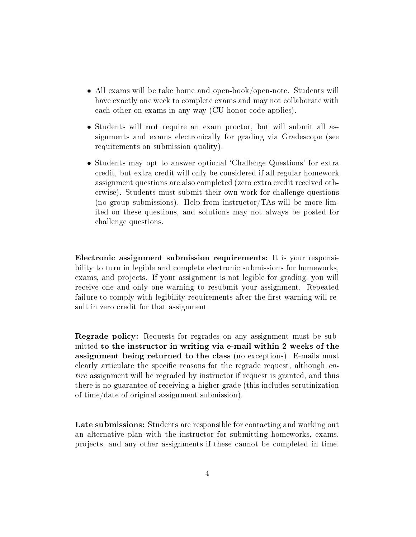- All exams will be take home and open-book/open-note. Students will have exactly one week to complete exams and may not collaborate with each other on exams in any way (CU honor code applies).
- Students will not require an exam proctor, but will submit all assignments and exams electronically for grading via Gradescope (see requirements on submission quality).
- Students may opt to answer optional 'Challenge Questions' for extra credit, but extra credit will only be considered if all regular homework assignment questions are also completed (zero extra credit received otherwise). Students must submit their own work for challenge questions (no group submissions). Help from instructor/TAs will be more limited on these questions, and solutions may not always be posted for challenge questions.

Electronic assignment submission requirements: It is your responsibility to turn in legible and complete electronic submissions for homeworks, exams, and projects. If your assignment is not legible for grading, you will receive one and only one warning to resubmit your assignment. Repeated failure to comply with legibility requirements after the first warning will result in zero credit for that assignment.

Regrade policy: Requests for regrades on any assignment must be submitted to the instructor in writing via e-mail within 2 weeks of the assignment being returned to the class (no exceptions). E-mails must clearly articulate the specific reasons for the regrade request, although  $en$ tire assignment will be regraded by instructor if request is granted, and thus there is no guarantee of receiving a higher grade (this includes scrutinization of time/date of original assignment submission).

Late submissions: Students are responsible for contacting and working out an alternative plan with the instructor for submitting homeworks, exams, projects, and any other assignments if these cannot be completed in time.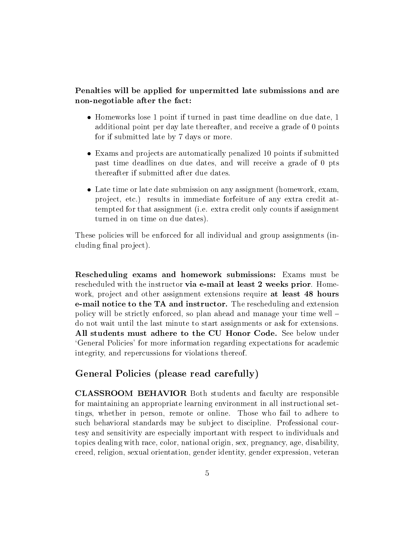Penalties will be applied for unpermitted late submissions and are non-negotiable after the fact:

- Homeworks lose 1 point if turned in past time deadline on due date, 1 additional point per day late thereafter, and receive a grade of 0 points for if submitted late by 7 days or more.
- Exams and projects are automatically penalized 10 points if submitted past time deadlines on due dates, and will receive a grade of 0 pts thereafter if submitted after due dates.
- Late time or late date submission on any assignment (homework, exam, project, etc.) results in immediate forfeiture of any extra credit attempted for that assignment (i.e. extra credit only counts if assignment turned in on time on due dates).

These policies will be enforced for all individual and group assignments (including final project).

Rescheduling exams and homework submissions: Exams must be rescheduled with the instructor via e-mail at least 2 weeks prior. Homework, project and other assignment extensions require at least 48 hours e-mail notice to the TA and instructor. The rescheduling and extension policy will be strictly enforced, so plan ahead and manage your time well do not wait until the last minute to start assignments or ask for extensions. All students must adhere to the CU Honor Code. See below under `General Policies' for more information regarding expectations for academic integrity, and repercussions for violations thereof.

## General Policies (please read carefully)

CLASSROOM BEHAVIOR Both students and faculty are responsible for maintaining an appropriate learning environment in all instructional settings, whether in person, remote or online. Those who fail to adhere to such behavioral standards may be subject to discipline. Professional courtesy and sensitivity are especially important with respect to individuals and topics dealing with race, color, national origin, sex, pregnancy, age, disability, creed, religion, sexual orientation, gender identity, gender expression, veteran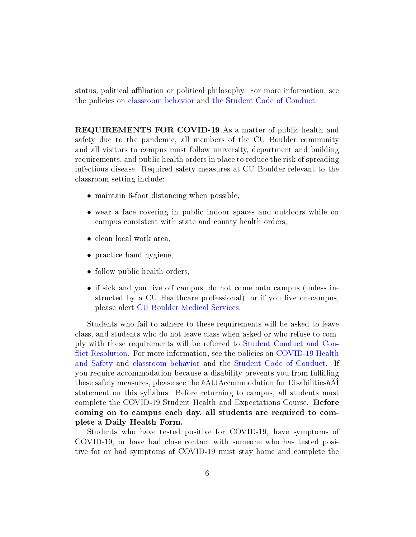status, political affiliation or political philosophy. For more information, see the policies on [classroom behavior](http://www.colorado.edu/policies/student-classroom-and-course-related-behavior) and [the Student Code of Conduct.](https://www.colorado.edu/sccr/sites/default/files/attached-files/2019-2020_student_code_of_conduct_0.pdf)

REQUIREMENTS FOR COVID-19 As a matter of public health and safety due to the pandemic, all members of the CU Boulder community and all visitors to campus must follow university, department and building requirements, and public health orders in place to reduce the risk of spreading infectious disease. Required safety measures at CU Boulder relevant to the classroom setting include:

- maintain 6-foot distancing when possible,
- wear a face covering in public indoor spaces and outdoors while on campus consistent with state and county health orders,
- clean local work area,
- practice hand hygiene,
- follow public health orders,
- if sick and you live off campus, do not come onto campus (unless instructed by a CU Healthcare professional), or if you live on-campus, please alert [CU Boulder Medical Services.](https://www.colorado.edu/healthcenter/coronavirus-updates/symptoms-and-what-do-if-you-feel-sick)

Students who fail to adhere to these requirements will be asked to leave class, and students who do not leave class when asked or who refuse to comply with these requirements will be referred to [Student Conduct and Con](https://www.colorado.edu/healthcenter/coronavirus-updates/symptoms-and-what-do-if-you-feel-sick) fl[ict Resolution.](https://www.colorado.edu/healthcenter/coronavirus-updates/symptoms-and-what-do-if-you-feel-sick) For more information, see the policies on [COVID-19 Health](https://www.colorado.edu/policies/covid-19-health-and-safety-policy) [and Safety](https://www.colorado.edu/policies/covid-19-health-and-safety-policy) and [classroom behavior](https://www.colorado.edu/policies/covid-19-health-and-safety-policy) and the [Student Code of Conduct.](http://www.colorado.edu/osccr/) If you require accommodation because a disability prevents you from fullling these safety measures, please see the âALLAccommodation for DisabilitiesâAI statement on this syllabus. Before returning to campus, all students must complete the COVID-19 Student Health and Expectations Course. Before coming on to campus each day, all students are required to complete a Daily Health Form.

Students who have tested positive for COVID-19, have symptoms of COVID-19, or have had close contact with someone who has tested positive for or had symptoms of COVID-19 must stay home and complete the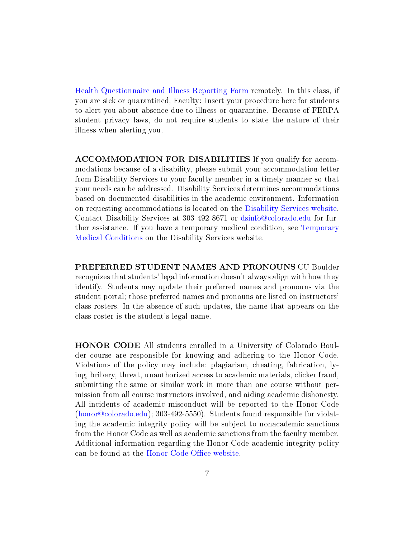[Health Questionnaire and Illness Reporting Form](https://www.colorado.edu/protect-our-herd/how#anchor1) remotely. In this class, if you are sick or quarantined, Faculty: insert your procedure here for students to alert you about absence due to illness or quarantine. Because of FERPA student privacy laws, do not require students to state the nature of their illness when alerting you.

ACCOMMODATION FOR DISABILITIES If you qualify for accommodations because of a disability, please submit your accommodation letter from Disability Services to your faculty member in a timely manner so that your needs can be addressed. Disability Services determines accommodations based on documented disabilities in the academic environment. Information on requesting accommodations is located on the [Disability Services website.](https://www.colorado.edu/disabilityservices/) Contact Disability Services at 303-492-8671 or <dsinfo@colorado.edu> for further assistance. If you have a temporary medical condition, see [Temporary](http://www.colorado.edu/disabilityservices/students/temporary-medical-conditions) [Medical Conditions](http://www.colorado.edu/disabilityservices/students/temporary-medical-conditions) on the Disability Services website.

PREFERRED STUDENT NAMES AND PRONOUNS CU Boulder recognizes that students' legal information doesn't always align with how they identify. Students may update their preferred names and pronouns via the student portal; those preferred names and pronouns are listed on instructors' class rosters. In the absence of such updates, the name that appears on the class roster is the student's legal name.

HONOR CODE All students enrolled in a University of Colorado Boulder course are responsible for knowing and adhering to the Honor Code. Violations of the policy may include: plagiarism, cheating, fabrication, lying, bribery, threat, unauthorized access to academic materials, clicker fraud, submitting the same or similar work in more than one course without permission from all course instructors involved, and aiding academic dishonesty. All incidents of academic misconduct will be reported to the Honor Code [\(honor@colorado.edu\)](honor@colorado.edu); 303-492-5550). Students found responsible for violating the academic integrity policy will be subject to nonacademic sanctions from the Honor Code as well as academic sanctions from the faculty member. Additional information regarding the Honor Code academic integrity policy can be found at the Honor Code Office website.